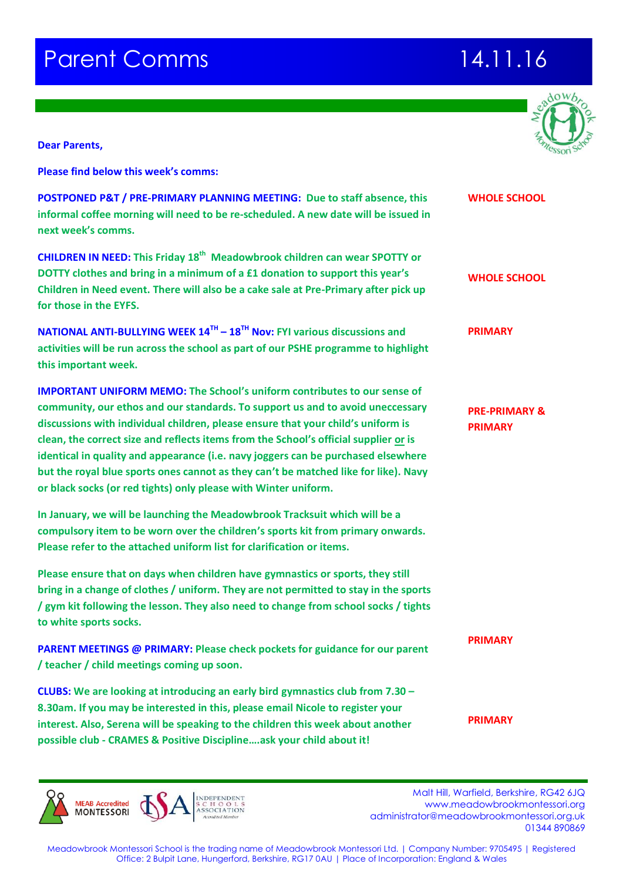# **Parent Comms 14.11.16**



**Dear Parents,**

**Please find below this week's comms:**

| <b>&amp;T / PRE-PRIMARY PLANNING MEETING: Due to staff absence, this</b><br>e morning will need to be re-scheduled. A new date will be issued in<br>omms.                                                                                                                                                                                                                                                                                                                                       | <b>WHOLE SCHOOL</b>                        |
|-------------------------------------------------------------------------------------------------------------------------------------------------------------------------------------------------------------------------------------------------------------------------------------------------------------------------------------------------------------------------------------------------------------------------------------------------------------------------------------------------|--------------------------------------------|
| <b>NEED: This Friday 18<sup>th</sup> Meadowbrook children can wear SPOTTY or</b><br>s and bring in a minimum of a £1 donation to support this year's<br>ed event. There will also be a cake sale at Pre-Primary after pick up<br>e EYFS.                                                                                                                                                                                                                                                        | <b>WHOLE SCHOOL</b>                        |
| <b>TI-BULLYING WEEK 14<sup>TH</sup> - 18<sup>TH</sup> Nov: FYI various discussions and</b><br>be run across the school as part of our PSHE programme to highlight<br>t week.                                                                                                                                                                                                                                                                                                                    | <b>PRIMARY</b>                             |
| <b>INIFORM MEMO:</b> The School's uniform contributes to our sense of<br>ur ethos and our standards. To support us and to avoid uneccessary<br>ith individual children, please ensure that your child's uniform is<br>rect size and reflects items from the School's official supplier or is<br>ality and appearance (i.e. navy joggers can be purchased elsewhere<br>blue sports ones cannot as they can't be matched like for like). Navy<br>(or red tights) only please with Winter uniform. | <b>PRE-PRIMARY &amp;</b><br><b>PRIMARY</b> |
| will be launching the Meadowbrook Tracksuit which will be a<br>em to be worn over the children's sports kit from primary onwards.<br>o the attached uniform list for clarification or items.                                                                                                                                                                                                                                                                                                    |                                            |
| that on days when children have gymnastics or sports, they still<br>nge of clothes / uniform. They are not permitted to stay in the sports<br>wing the lesson. They also need to change from school socks / tights<br>s socks.                                                                                                                                                                                                                                                                  |                                            |
| <b>INGS @ PRIMARY: Please check pockets for guidance for our parent</b><br>ild meetings coming up soon.                                                                                                                                                                                                                                                                                                                                                                                         | <b>PRIMARY</b>                             |
| e looking at introducing an early bird gymnastics club from 7.30 -<br>may be interested in this, please email Nicole to register your<br>Serena will be speaking to the children this week about another                                                                                                                                                                                                                                                                                        | <b>PRIMARY</b>                             |

**POSTPONED P informal coffe next week's comms.**

**CHILDREN IN N DOTTY clothes Children in Ne** for those in th

**NATIONAL AN activities will b** this important

**IMPORTANT U community, o discussions with individual**  $\alpha$  $clean, the corr$ **identical in quality but the royal**  $k$ **or black socks** 

**In January, we compulsory** it **Please refer to** 

**Please ensure bring in a change of a / gym kit following the lesson. They also need to change from school socks / tights**  to white sport

**PARENT MEET / teacher / chi** 

**CLUBS: We are 8.30am. If you** interest. Also, **possible club - CRAMES & Positive Discipline….ask your child about it!**

**MONTESSORI** 

Malt Hill, Warfield, Berkshire, RG42 6JQ<br>Malt Hill, Warfield, Berkshire, RG42 6JQ www.meadowbrookmontessori.org [administrator@meadowbrookmontessori.org.uk](mailto:administrator@meadowbrookmontessori.org.uk) 01344 890869

Meadowbrook Montessori School is the trading name of Meadowbrook Montessori Ltd. | Company Number: 9705495 | Registered Office: 2 Bulpit Lane, Hungerford, Berkshire, RG17 0AU | Place of Incorporation: England & Wales